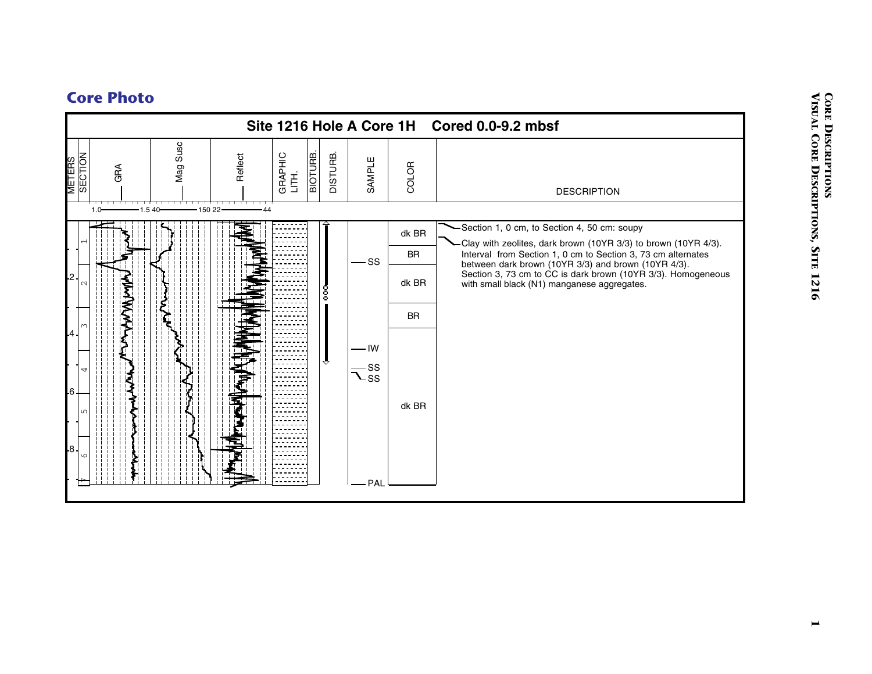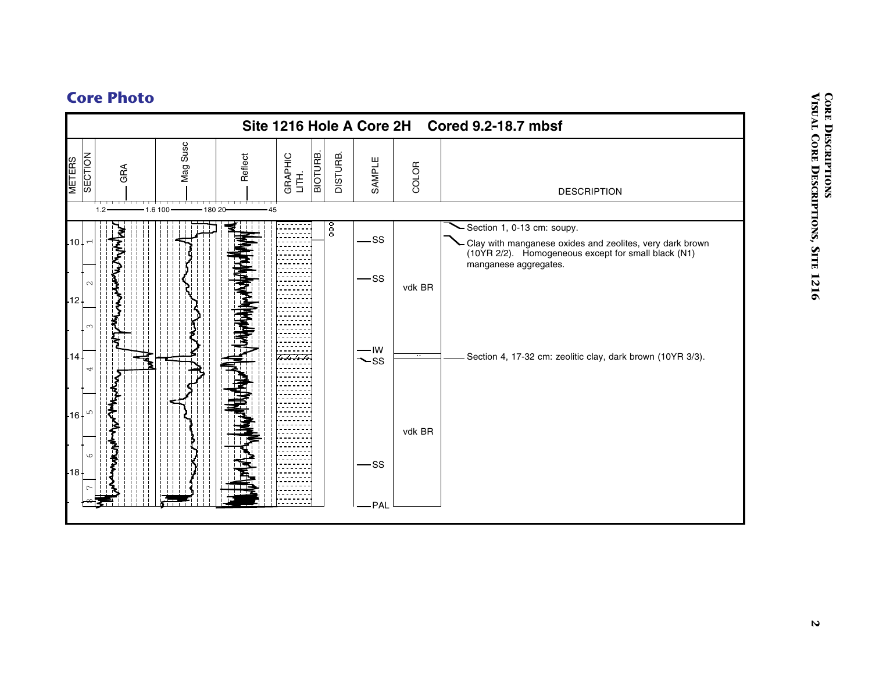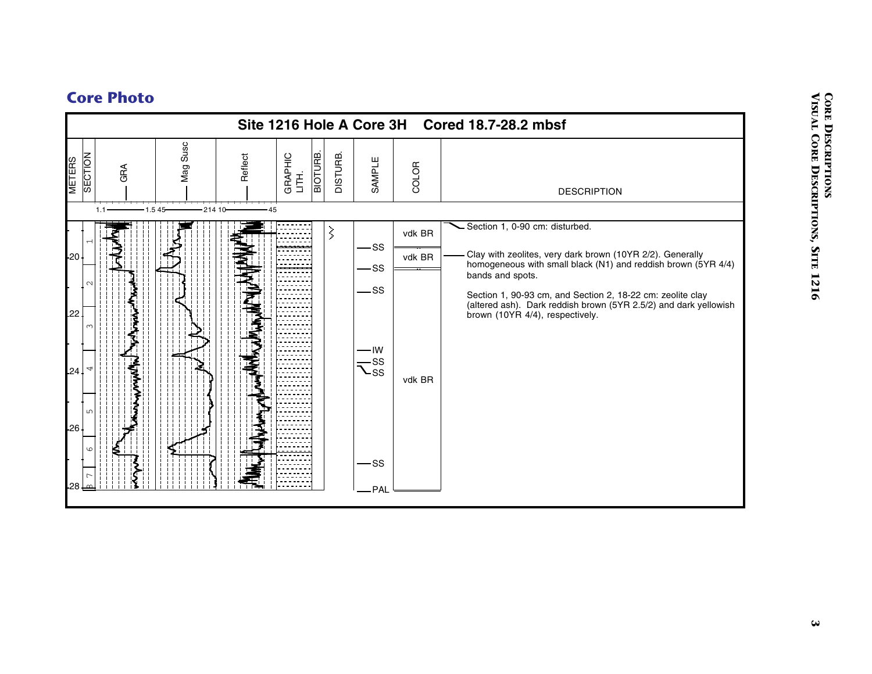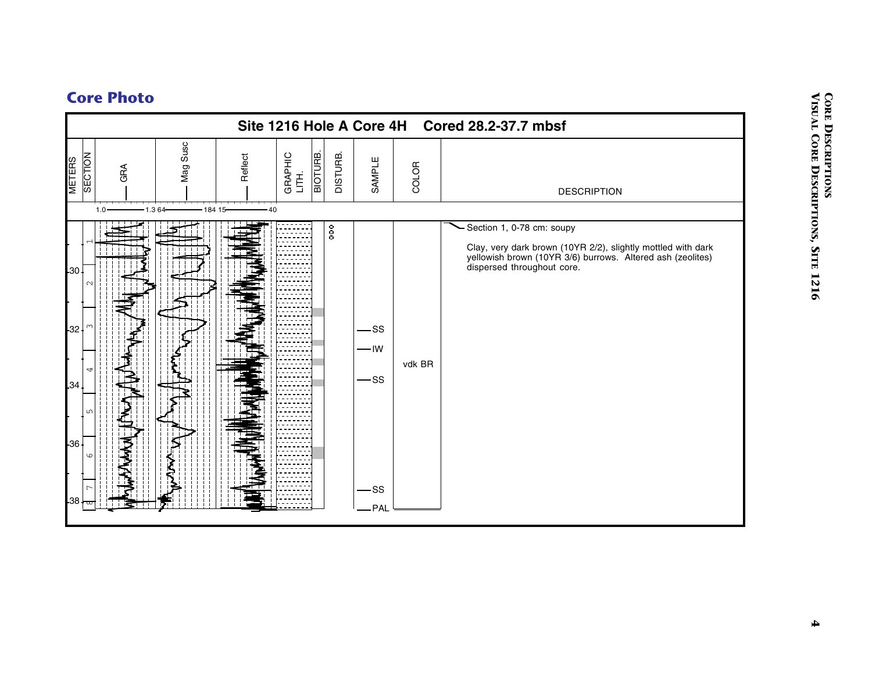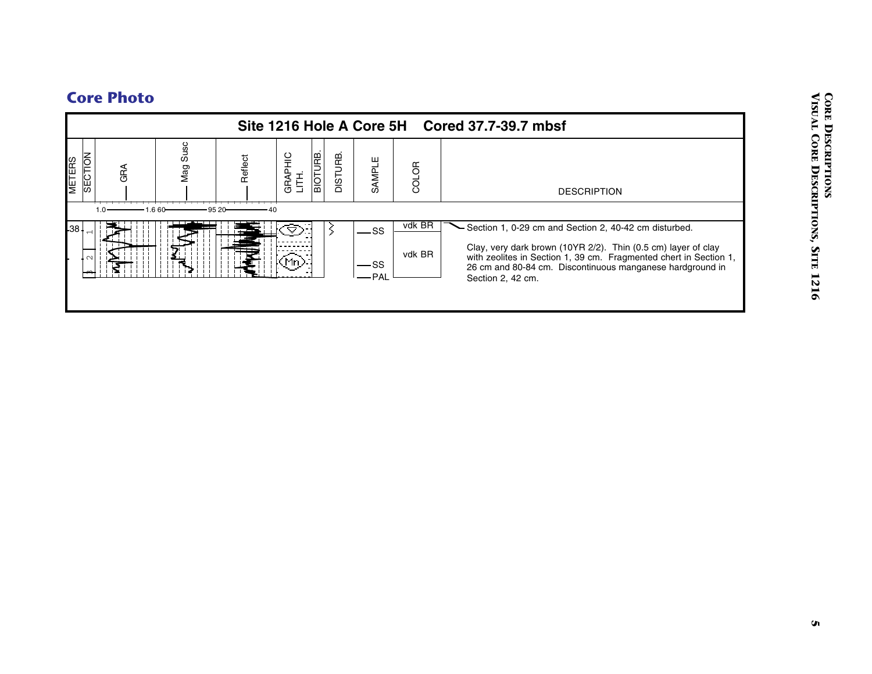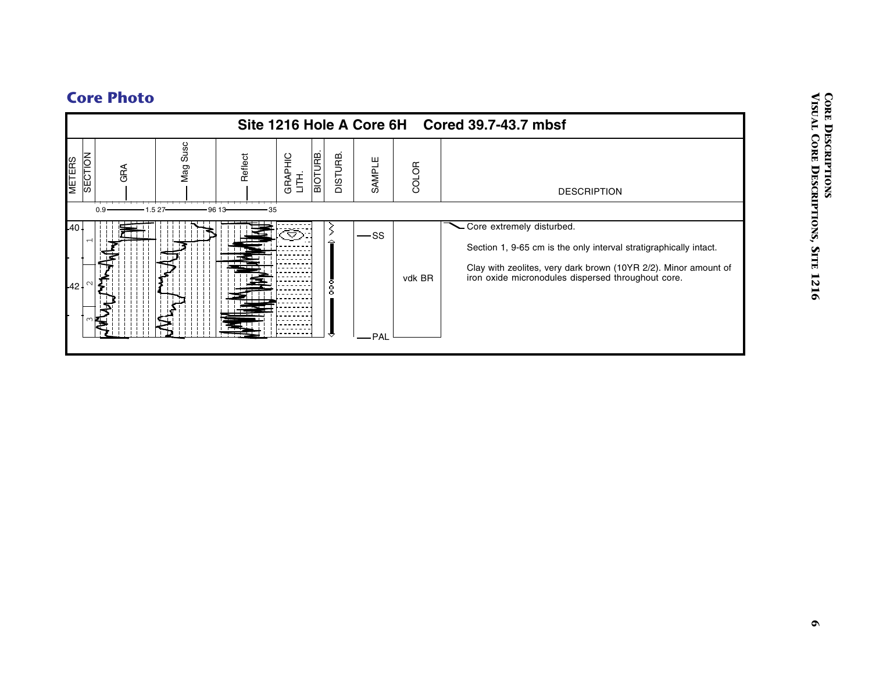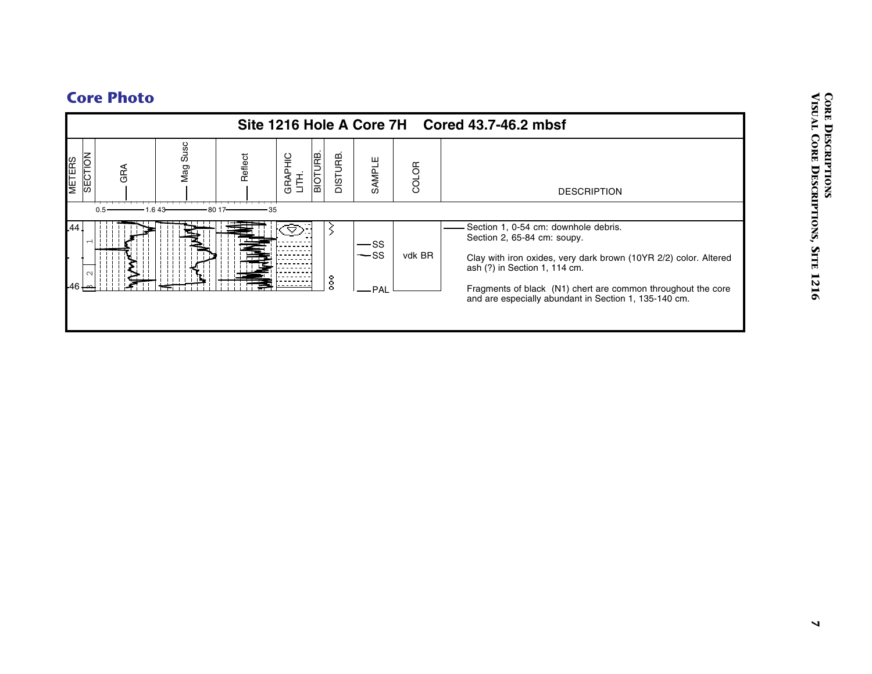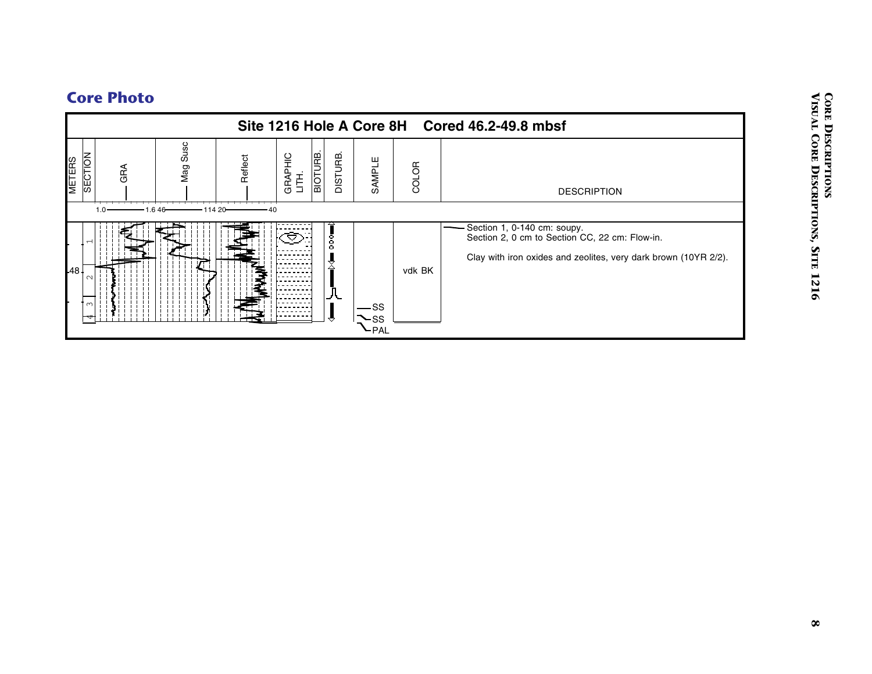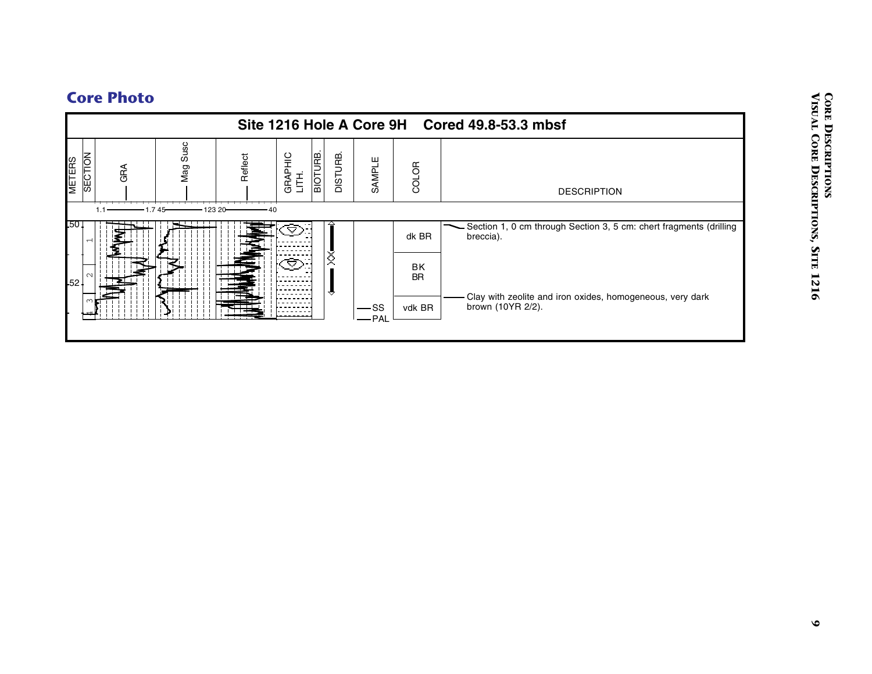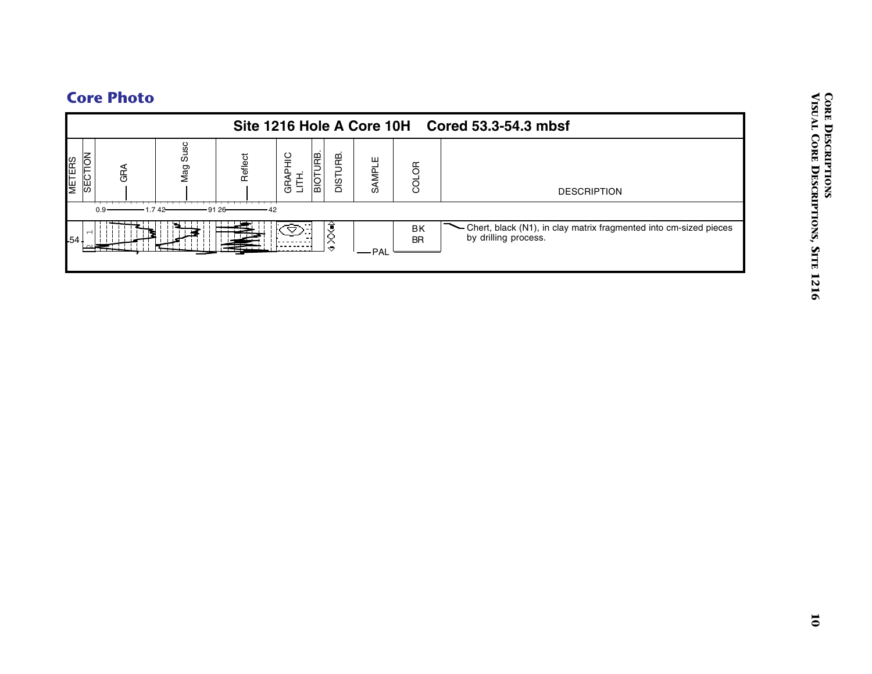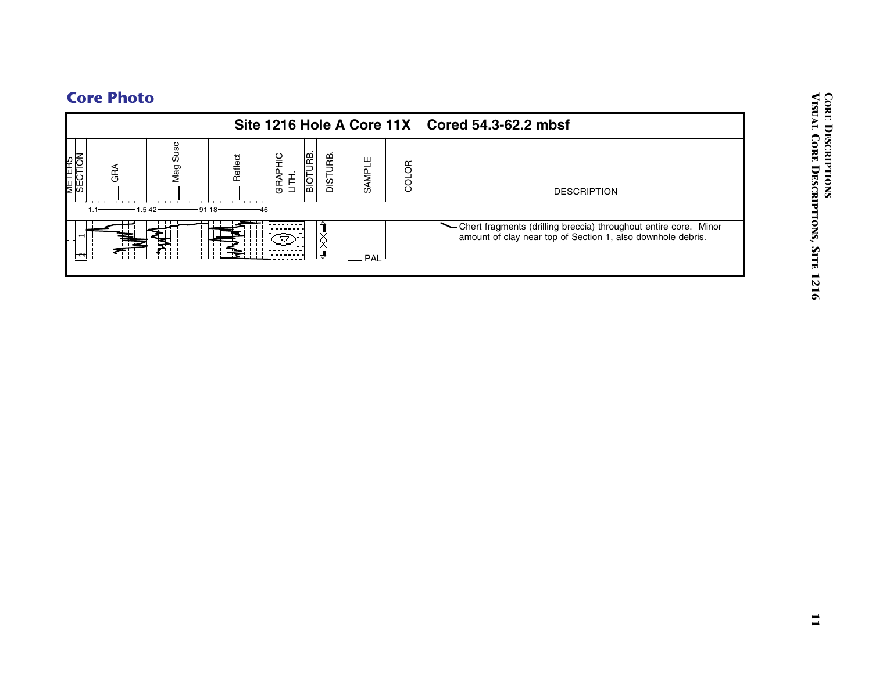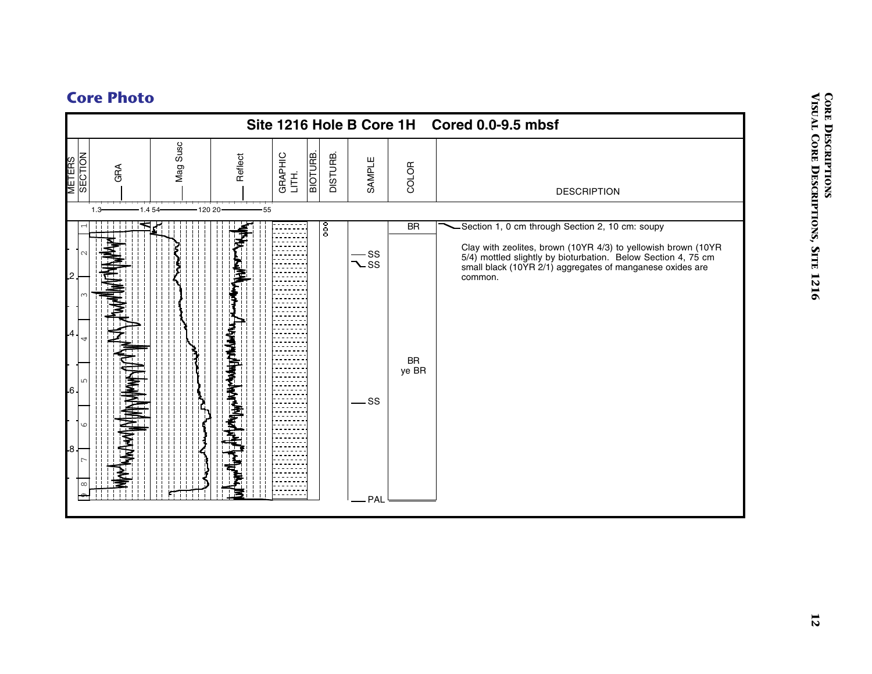